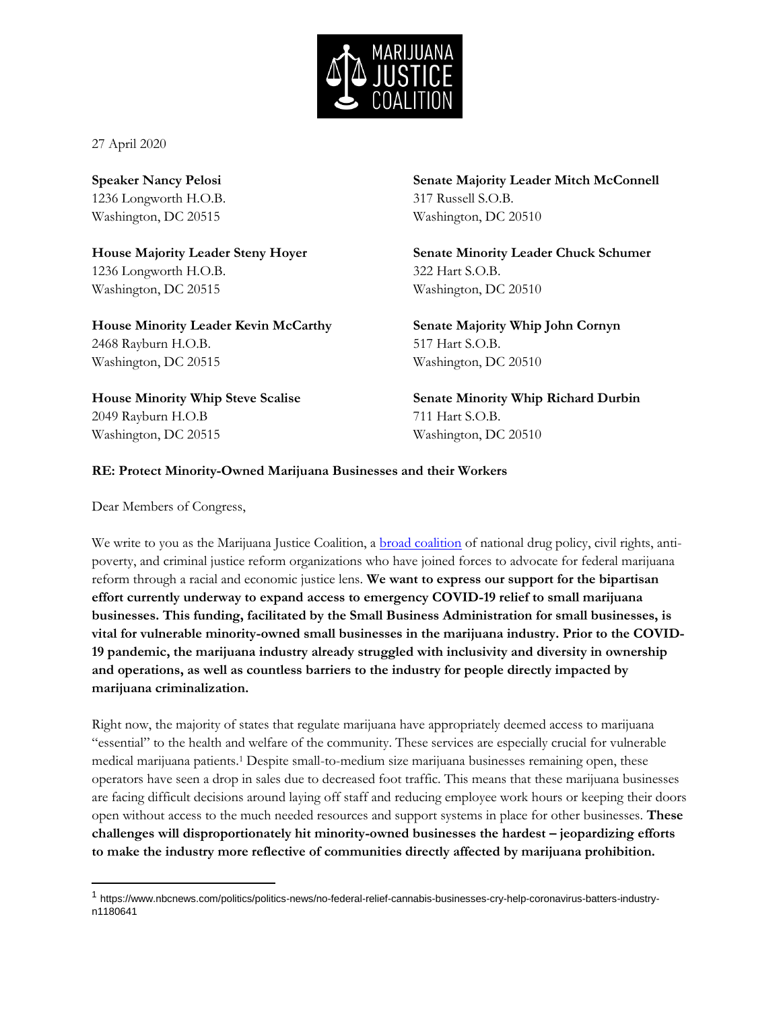

27 April 2020

**Speaker Nancy Pelosi**  1236 Longworth H.O.B. Washington, DC 20515

**House Majority Leader Steny Hoyer**  1236 Longworth H.O.B. Washington, DC 20515

**House Minority Leader Kevin McCarthy** 2468 Rayburn H.O.B. Washington, DC 20515

**House Minority Whip Steve Scalise** 2049 Rayburn H.O.B Washington, DC 20515

**Senate Majority Leader Mitch McConnell** 317 Russell S.O.B. Washington, DC 20510

**Senate Minority Leader Chuck Schumer** 322 Hart S.O.B. Washington, DC 20510

**Senate Majority Whip John Cornyn** 517 Hart S.O.B. Washington, DC 20510

**Senate Minority Whip Richard Durbin** 711 Hart S.O.B. Washington, DC 20510

## **RE: Protect Minority-Owned Marijuana Businesses and their Workers**

Dear Members of Congress,

 $\overline{a}$ 

We write to you as the Marijuana Justice Coalition, a **broad coalition** of national drug policy, civil rights, antipoverty, and criminal justice reform organizations who have joined forces to advocate for federal marijuana reform through a racial and economic justice lens. **We want to express our support for the bipartisan effort currently underway to expand access to emergency COVID-19 relief to small marijuana businesses. This funding, facilitated by the Small Business Administration for small businesses, is vital for vulnerable minority-owned small businesses in the marijuana industry. Prior to the COVID-19 pandemic, the marijuana industry already struggled with inclusivity and diversity in ownership and operations, as well as countless barriers to the industry for people directly impacted by marijuana criminalization.** 

Right now, the majority of states that regulate marijuana have appropriately deemed access to marijuana "essential" to the health and welfare of the community. These services are especially crucial for vulnerable medical marijuana patients.<sup>1</sup> Despite small-to-medium size marijuana businesses remaining open, these operators have seen a drop in sales due to decreased foot traffic. This means that these marijuana businesses are facing difficult decisions around laying off staff and reducing employee work hours or keeping their doors open without access to the much needed resources and support systems in place for other businesses. **These challenges will disproportionately hit minority-owned businesses the hardest – jeopardizing efforts to make the industry more reflective of communities directly affected by marijuana prohibition.**

<sup>&</sup>lt;sup>1</sup> https://www.nbcnews.com/politics/politics-news/no-federal-relief-cannabis-businesses-cry-help-coronavirus-batters-industryn1180641